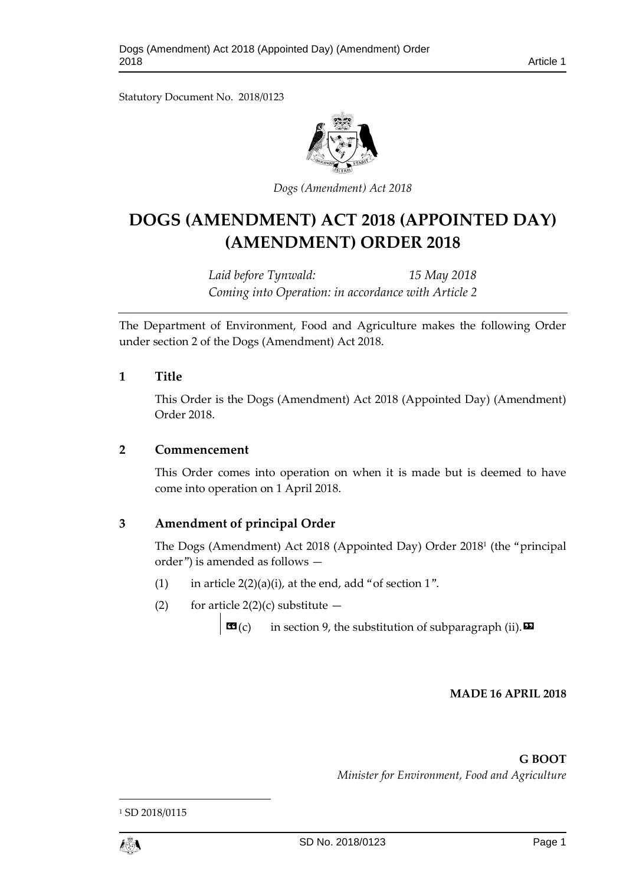Statutory Document No. 2018/0123



*Dogs (Amendment) Act 2018*

# **DOGS (AMENDMENT) ACT 2018 (APPOINTED DAY) (AMENDMENT) ORDER 2018**

*Laid before Tynwald: 15 May 2018 Coming into Operation: in accordance with Article 2*

The Department of Environment, Food and Agriculture makes the following Order under section 2 of the Dogs (Amendment) Act 2018.

## **1 Title**

This Order is the Dogs (Amendment) Act 2018 (Appointed Day) (Amendment) Order 2018.

### **2 Commencement**

This Order comes into operation on when it is made but is deemed to have come into operation on 1 April 2018.

# **3 Amendment of principal Order**

The Dogs (Amendment) Act 2018 (Appointed Day) Order 2018<sup>1</sup> (the "principal order") is amended as follows —

- (1) in article  $2(2)(a)(i)$ , at the end, add "of section 1".
- (2) for article  $2(2)(c)$  substitute  $-$

 $\mathbf{G}(c)$  in section 9, the substitution of subparagraph (ii).  $\mathbf{E}$ 

#### **MADE 16 APRIL 2018**

**G BOOT**

*Minister for Environment, Food and Agriculture*



1